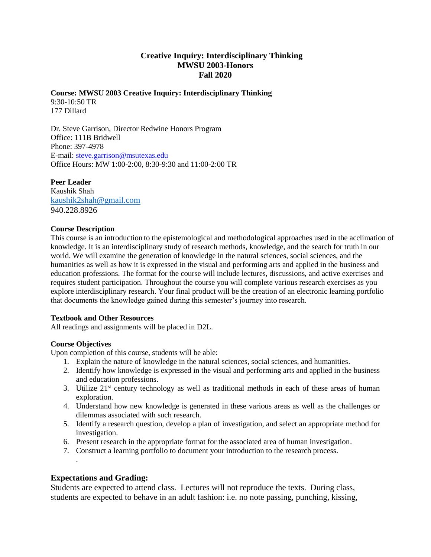# **Creative Inquiry: Interdisciplinary Thinking MWSU 2003-Honors Fall 2020**

# **Course: MWSU 2003 Creative Inquiry: Interdisciplinary Thinking**  9:30-10:50 TR

177 Dillard

Dr. Steve Garrison, Director Redwine Honors Program Office: 111B Bridwell Phone: 397-4978 E-mail[: steve.garrison@msutexas.edu](mailto:steve.garrison@msutexas.edu)  Office Hours: MW 1:00-2:00, 8:30-9:30 and 11:00-2:00 TR

**Peer Leader**  Kaushik Shah [kaushik2shah@gmail.com](mailto:kaushik2shah@gmail.com) 940.228.8926

### **Course Description**

This course is an introduction to the epistemological and methodological approaches used in the acclimation of knowledge. It is an interdisciplinary study of research methods, knowledge, and the search for truth in our world. We will examine the generation of knowledge in the natural sciences, social sciences, and the humanities as well as how it is expressed in the visual and performing arts and applied in the business and education professions. The format for the course will include lectures, discussions, and active exercises and requires student participation. Throughout the course you will complete various research exercises as you explore interdisciplinary research. Your final product will be the creation of an electronic learning portfolio that documents the knowledge gained during this semester's journey into research.

#### **Textbook and Other Resources**

All readings and assignments will be placed in D2L.

## **Course Objectives**

Upon completion of this course, students will be able:

- 1. Explain the nature of knowledge in the natural sciences, social sciences, and humanities.
- 2. Identify how knowledge is expressed in the visual and performing arts and applied in the business and education professions.
- 3. Utilize  $21<sup>st</sup>$  century technology as well as traditional methods in each of these areas of human exploration.
- 4. Understand how new knowledge is generated in these various areas as well as the challenges or dilemmas associated with such research.
- 5. Identify a research question, develop a plan of investigation, and select an appropriate method for investigation.
- 6. Present research in the appropriate format for the associated area of human investigation.
- 7. Construct a learning portfolio to document your introduction to the research process.

## **Expectations and Grading:**

.

Students are expected to attend class. Lectures will not reproduce the texts. During class, students are expected to behave in an adult fashion: i.e. no note passing, punching, kissing,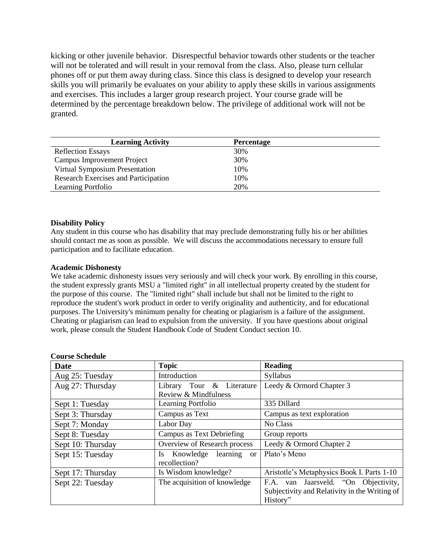kicking or other juvenile behavior. Disrespectful behavior towards other students or the teacher will not be tolerated and will result in your removal from the class. Also, please turn cellular phones off or put them away during class. Since this class is designed to develop your research skills you will primarily be evaluates on your ability to apply these skills in various assignments and exercises. This includes a larger group research project. Your course grade will be determined by the percentage breakdown below. The privilege of additional work will not be granted.

| <b>Learning Activity</b>             | <b>Percentage</b> |  |
|--------------------------------------|-------------------|--|
| <b>Reflection Essays</b>             | 30%               |  |
| <b>Campus Improvement Project</b>    | 30%               |  |
| Virtual Symposium Presentation       | 10%               |  |
| Research Exercises and Participation | 10%               |  |
| Learning Portfolio                   | 20%               |  |

#### **Disability Policy**

Any student in this course who has disability that may preclude demonstrating fully his or her abilities should contact me as soon as possible. We will discuss the accommodations necessary to ensure full participation and to facilitate education.

#### **Academic Dishonesty**

We take academic dishonesty issues very seriously and will check your work. By enrolling in this course, the student expressly grants MSU a "limited right" in all intellectual property created by the student for the purpose of this course. The "limited right" shall include but shall not be limited to the right to reproduce the student's work product in order to verify originality and authenticity, and for educational purposes. The University's minimum penalty for cheating or plagiarism is a failure of the assignment. Cheating or plagiarism can lead to expulsion from the university. If you have questions about original work, please consult the Student Handbook Code of Student Conduct section 10.

| <b>Date</b>       | <b>Topic</b>                                                         | <b>Reading</b>                                                                                    |
|-------------------|----------------------------------------------------------------------|---------------------------------------------------------------------------------------------------|
| Aug 25: Tuesday   | Introduction                                                         | Syllabus                                                                                          |
| Aug 27: Thursday  | $\&$<br>Literature<br>Tour<br>Library<br>Review & Mindfulness        | Leedy & Ormord Chapter 3                                                                          |
| Sept 1: Tuesday   | Learning Portfolio                                                   | 335 Dillard                                                                                       |
| Sept 3: Thursday  | Campus as Text                                                       | Campus as text exploration                                                                        |
| Sept 7: Monday    | Labor Day                                                            | No Class                                                                                          |
| Sept 8: Tuesday   | Campus as Text Debriefing                                            | Group reports                                                                                     |
| Sept 10: Thursday | Overview of Research process                                         | Leedy & Ormord Chapter 2                                                                          |
| Sept 15: Tuesday  | Knowledge<br>learning<br><b>Is</b><br><sub>or</sub><br>recollection? | Plato's Meno                                                                                      |
| Sept 17: Thursday | Is Wisdom knowledge?                                                 | Aristotle's Metaphysics Book I. Parts 1-10                                                        |
| Sept 22: Tuesday  | The acquisition of knowledge                                         | F.A. van Jaarsveld. "On Objectivity,<br>Subjectivity and Relativity in the Writing of<br>History" |

#### **Course Schedule**